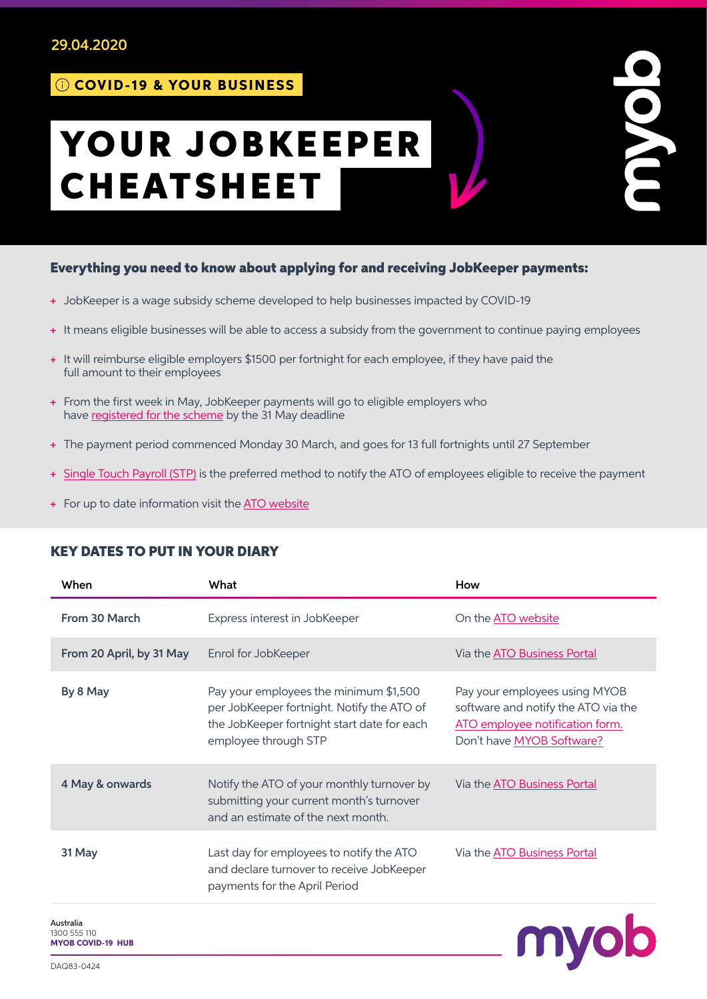#### 29.04.2020

## COVID-19 & YOUR BUSINESS

# YOUR JOBKEEPER CHEATSHEET

#### Everything you need to know about applying for and receiving JobKeeper payments:

- + JobKeeper is a wage subsidy scheme developed to help businesses impacted by COVID-19
- + It means eligible businesses will be able to access a subsidy from the government to continue paying employees
- + It will reimburse eligible employers \$1500 per fortnight for each employee, if they have paid the full amount to their employees
- + From the first week in May, JobKeeper payments will go to eligible employers who have [registered for the scheme](https://www.ato.gov.au/general/jobkeeper-payment/) by the 31 May deadline
- + The payment period commenced Monday 30 March, and goes for 13 full fortnights until 27 September
- + [Single Touch Payroll \(STP\)](https://www.myob.com/au/accounting-software/essentials-payroll) is the preferred method to notify the ATO of employees eligible to receive the payment
- + For up to date information visit the [ATO website](https://www.ato.gov.au/General/JobKeeper-Payment/)

### When What What **How** From 30 March **Express interest in JobKeeper** Chathe [ATO website](https://www.ato.gov.au/general/jobkeeper-payment/) From 20 April, by 31 May Enrol for JobKeeper Via the [ATO Business Portal](https://www.ato.gov.au/business/business-portal/) By 8 May Pay your employees the minimum \$1,500 per JobKeeper fortnight. Notify the ATO of the JobKeeper fortnight start date for each employee through STP Pay your employees using [MYOB](https://www.myob.com/au/accounting-software/essentials-payroll)  [software](https://www.myob.com/au/accounting-software/essentials-payroll) and notify the ATO via the [ATO employee notification form](https://www.ato.gov.au/Forms/JobKeeper-payment---employee-nomination-notice/). Don't have [MYOB Software?](https://www.myob.com/au/accounting-software/essentials-payroll) 4 May & onwards Notify the ATO of your monthly turnover by submitting your current month's turnover and an estimate of the next month. Via the [ATO Business Portal](https://www.ato.gov.au/business/business-portal/) 31 May **Last day for employees to notify the ATO** and declare turnover to receive JobKeeper payments for the April Period Via the [ATO Business Portal](https://www.ato.gov.au/business/business-portal/)

#### KEY DATES TO PUT IN YOUR DIARY

Australia 1300 555 110 [MYOB COVID-19 HUB](https://www.myob.com/au/small-business/resources)



povor